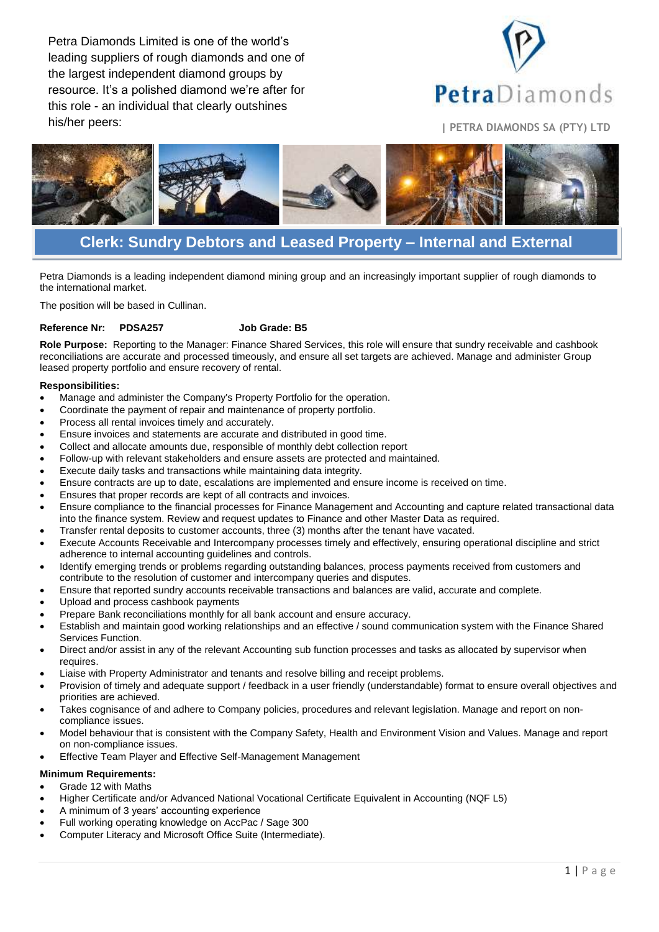Petra Diamonds Limited is one of the world's leading suppliers of rough diamonds and one of the largest independent diamond groups by resource. It's a polished diamond we're after for this role - an individual that clearly outshines his/her peers: **<sup>|</sup> PETRA DIAMONDS SA (PTY) LTD**





# **Clerk: Sundry Debtors and Leased Property – Internal and External**

Petra Diamonds is a leading independent diamond mining group and an increasingly important supplier of rough diamonds to the international market.

The position will be based in Cullinan.

## **Reference Nr: PDSA257 Job Grade: B5**

**Role Purpose:** Reporting to the Manager: Finance Shared Services, this role will ensure that sundry receivable and cashbook reconciliations are accurate and processed timeously, and ensure all set targets are achieved. Manage and administer Group leased property portfolio and ensure recovery of rental.

#### **Responsibilities:**

- Manage and administer the Company's Property Portfolio for the operation.
- Coordinate the payment of repair and maintenance of property portfolio.
- Process all rental invoices timely and accurately.
- Ensure invoices and statements are accurate and distributed in good time.
- Collect and allocate amounts due, responsible of monthly debt collection report
- Follow-up with relevant stakeholders and ensure assets are protected and maintained.
- Execute daily tasks and transactions while maintaining data integrity.
- Ensure contracts are up to date, escalations are implemented and ensure income is received on time.
- Ensures that proper records are kept of all contracts and invoices.
- Ensure compliance to the financial processes for Finance Management and Accounting and capture related transactional data into the finance system. Review and request updates to Finance and other Master Data as required.
- Transfer rental deposits to customer accounts, three (3) months after the tenant have vacated.
- Execute Accounts Receivable and Intercompany processes timely and effectively, ensuring operational discipline and strict adherence to internal accounting guidelines and controls.
- Identify emerging trends or problems regarding outstanding balances, process payments received from customers and contribute to the resolution of customer and intercompany queries and disputes.
- Ensure that reported sundry accounts receivable transactions and balances are valid, accurate and complete.
- Upload and process cashbook payments
- Prepare Bank reconciliations monthly for all bank account and ensure accuracy.
- Establish and maintain good working relationships and an effective / sound communication system with the Finance Shared Services Function.
- Direct and/or assist in any of the relevant Accounting sub function processes and tasks as allocated by supervisor when requires.
- Liaise with Property Administrator and tenants and resolve billing and receipt problems.
- Provision of timely and adequate support / feedback in a user friendly (understandable) format to ensure overall objectives and priorities are achieved.
- Takes cognisance of and adhere to Company policies, procedures and relevant legislation. Manage and report on noncompliance issues.
- Model behaviour that is consistent with the Company Safety, Health and Environment Vision and Values. Manage and report on non-compliance issues.
- Effective Team Player and Effective Self-Management Management

### **Minimum Requirements:**

#### Grade 12 with Maths

- Higher Certificate and/or Advanced National Vocational Certificate Equivalent in Accounting (NQF L5)
- A minimum of 3 years' accounting experience
- Full working operating knowledge on AccPac / Sage 300
- Computer Literacy and Microsoft Office Suite (Intermediate).